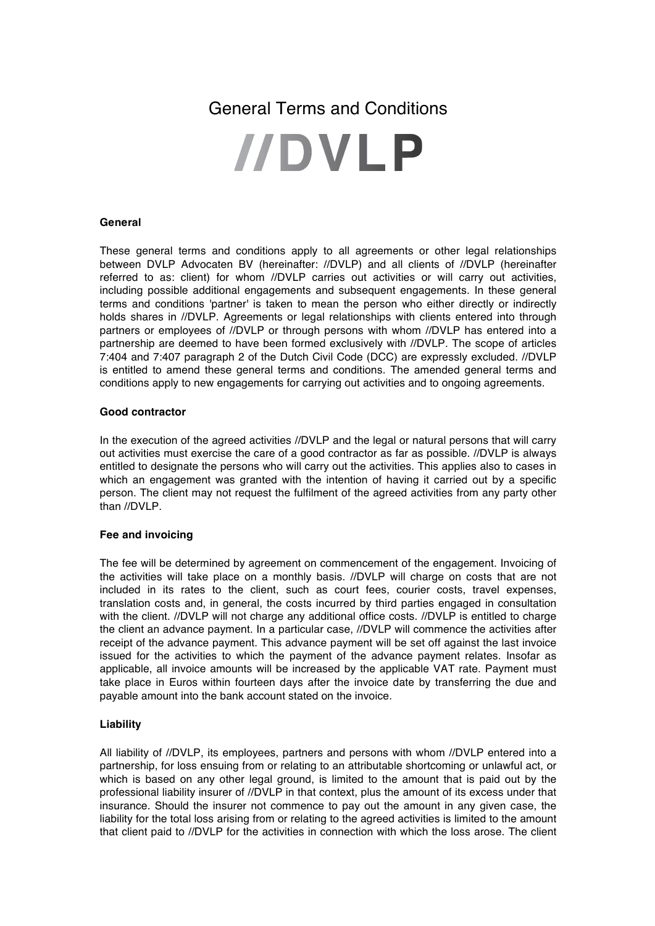# General Terms and Conditions

# **IIDVLP**

# **General**

These general terms and conditions apply to all agreements or other legal relationships between DVLP Advocaten BV (hereinafter: //DVLP) and all clients of //DVLP (hereinafter referred to as: client) for whom //DVLP carries out activities or will carry out activities, including possible additional engagements and subsequent engagements. In these general terms and conditions 'partner' is taken to mean the person who either directly or indirectly holds shares in //DVLP. Agreements or legal relationships with clients entered into through partners or employees of //DVLP or through persons with whom //DVLP has entered into a partnership are deemed to have been formed exclusively with //DVLP. The scope of articles 7:404 and 7:407 paragraph 2 of the Dutch Civil Code (DCC) are expressly excluded. //DVLP is entitled to amend these general terms and conditions. The amended general terms and conditions apply to new engagements for carrying out activities and to ongoing agreements.

# **Good contractor**

In the execution of the agreed activities //DVLP and the legal or natural persons that will carry out activities must exercise the care of a good contractor as far as possible. //DVLP is always entitled to designate the persons who will carry out the activities. This applies also to cases in which an engagement was granted with the intention of having it carried out by a specific person. The client may not request the fulfilment of the agreed activities from any party other than //DVLP.

# **Fee and invoicing**

The fee will be determined by agreement on commencement of the engagement. Invoicing of the activities will take place on a monthly basis. //DVLP will charge on costs that are not included in its rates to the client, such as court fees, courier costs, travel expenses, translation costs and, in general, the costs incurred by third parties engaged in consultation with the client. //DVLP will not charge any additional office costs. //DVLP is entitled to charge the client an advance payment. In a particular case, //DVLP will commence the activities after receipt of the advance payment. This advance payment will be set off against the last invoice issued for the activities to which the payment of the advance payment relates. Insofar as applicable, all invoice amounts will be increased by the applicable VAT rate. Payment must take place in Euros within fourteen days after the invoice date by transferring the due and payable amount into the bank account stated on the invoice.

# **Liability**

All liability of //DVLP, its employees, partners and persons with whom //DVLP entered into a partnership, for loss ensuing from or relating to an attributable shortcoming or unlawful act, or which is based on any other legal ground, is limited to the amount that is paid out by the professional liability insurer of //DVLP in that context, plus the amount of its excess under that insurance. Should the insurer not commence to pay out the amount in any given case, the liability for the total loss arising from or relating to the agreed activities is limited to the amount that client paid to //DVLP for the activities in connection with which the loss arose. The client